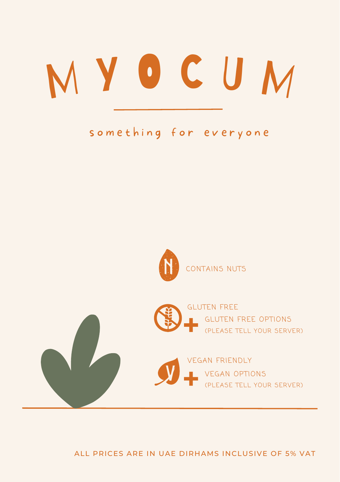# M Y O C U M

### something for everyone





ALL PRICES ARE IN UAE DIRHAMS INCLUSIVE OF 5% VAT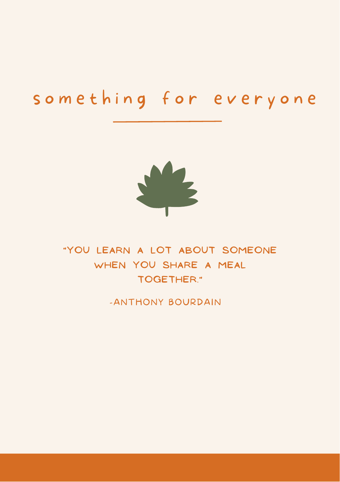### something for everyone



**"YOU LEARN A LOT ABOUT SOMEONE WHEN YOU SHARE A MEAL TOGETHER."**

-ANTHONY BOURDAIN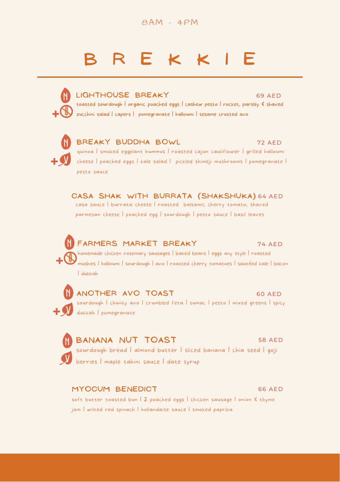8AM - 4PM

### **B R E K K I E**



**CASA SHAK WITH BURRATA (SHAKSHUKA)** 64 AED casa sauce | burrata cheese | roasted balsamic cherry tomato, shaved parmesan cheese | poached egg | sourdough | pesto sauce | basil leaves

74 AED homemade chicken rosemary sausages | baked beans | eggs any style | roasted mushies | halloumi | sourdough | avo | roasted cherry tomatoes | sautéed kale | bacon | dukkah **FARMERS MARKET BREAKY** N

sourdough | chunky avo | crumbled feta | sumac | pesto | mixed greens | spicy dukkah | pomegranate V **ANOTHER AVO TOAST** 60 AED

sourdough bread | almond butter | sliced banana | chia seed | goji berries | maple tahini sauce | date syrup V **BANANA NUT TOAST** 58 AED

**MYOCUM BENEDICT**

N

N

soft butter toasted bun | 2 poached eggs | chicken sausage | onion & thyme jam | wilted red spinach | hollandaise sauce | smoked paprika

#### 66 AED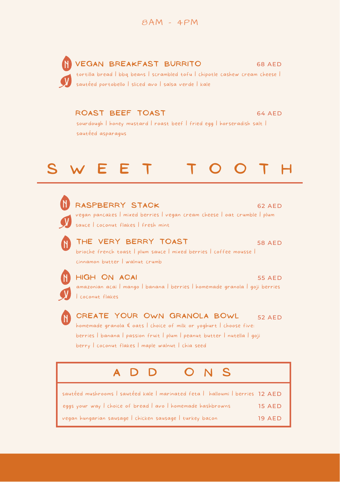**VEGAN BREAKFAST BURRITO** tortilla bread | bbq beans | scrambled tofu | chipotle cashew cream cheese | sautéed portobello | sliced avo | salsa verde | kale V 68 AED N

**ROAST BEEF TOAST** 64 AED

sourdough | honey mustard | roast beef | fried egg | horseradish salt | sautéed asparagus

### **S W E E T T O O T H**



N

N

V

N

**RASPBERRY STACK** 62 AED

vegan pancakes | mixed berries | vegan cream cheese | oat crumble | plum Sauce | coconut flakes | fresh mint

**THE VERY BERRY TOAST** 58 AED brioche french toast | plum sauce | mixed berries | coffee mousse | cinnamon butter | walnut crumb

**HIGH ON ACAI** 55 AED

amazonian acai | mango | banana | berries | homemade granola | goji berries | coconut flakes

**CREATE YOUR OWN GRANOLA BOWL** 52 AED homemade granola & oats | choice of milk or yoghurt | choose five: berries | banana | passion fruit | plum | peanut butter | nutella | goji berry | coconut flakes | maple walnut | chia seed

| ADD ONS                                                                       |               |
|-------------------------------------------------------------------------------|---------------|
| sautéed mushrooms   sautéed kale   marinated feta   halloumi   berries 12 AED |               |
| eggs your way I choice of bread   avo   homemade hashbrowns                   | <b>15 AED</b> |
| vegan hungarian sausage   chicken sausage   turkey bacon                      | <b>19 AED</b> |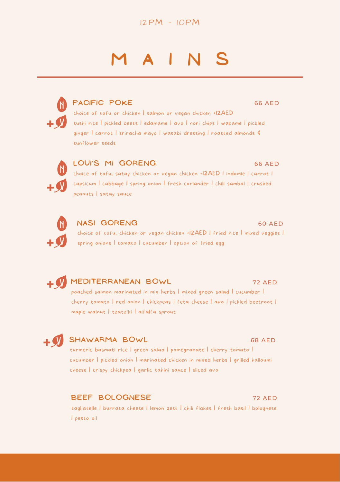

### **M A I N S**

66 AED

66 AED

60 AED



### **PACIFIC POKE**

choice of tofu or chicken | salmon or vegan chicken +12AED sushi rice | pickled beets | edamame | avo | nori chips | wakame | pickled ginger | carrot | sriracha mayo | wasabi dressing | roasted almonds & sunflower seeds



### **LOUI'S MI GORENG**

choice of tofu, satay chicken or vegan chicken +12AED | indomie | carrot | capsicum | cabbage | spring onion | fresh coriander | chili sambal | crushed peanuts | satay sauce



### **NASI GORENG**

choice of tofu, chicken or vegan chicken +12AED | fried rice | mixed veggies | spring onions | tomato | cucumber | option of fried egg

**MEDITERRANEAN BOWL** V

### poached salmon marinated in mix herbs | mixed green salad | cucumber | cherry tomato | red onion | chickpeas | feta cheese | avo | pickled beetroot | maple walnut | tzatziki | alfalfa sprout

### V

### **SHAWARMA BOWL**

#### 68 AED

72 AED

turmeric basmati rice | green salad | pomegranate | cherry tomato | cucumber | pickled onion | marinated chicken in mixed herbs | grilled halloumi cheese | crispy chickpea | garlic tahini sauce | sliced avo

### **BEEF BOLOGNESE**

72 AED

tagliatelle | burrata cheese | lemon zest | chili flakes | fresh basil | bolognese | pesto oil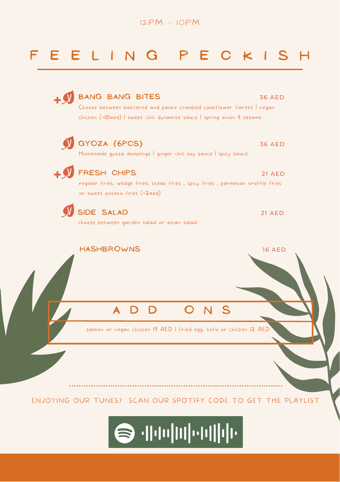

### **F E E L I N G P E C K I S H**

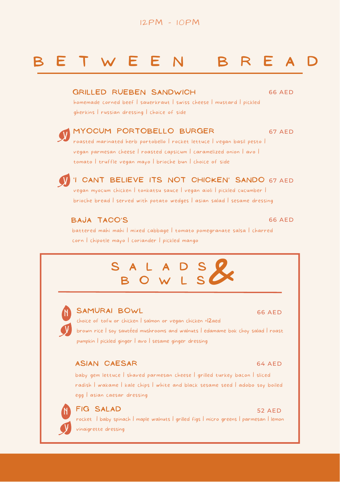### **B E T W E E N B R E A D**

#### **GRILLED RUEBEN SANDWICH**

66 AED

homemade corned beef | sauerkraut | swiss cheese | mustard | pickled gherkins | russian dressing | choice of side

#### **MYOCUM PORTOBELLO BURGER** roasted marinated herb portobello | rocket lettuce | vegan basil pesto | 67 AED y '

vegan parmesan cheese | roasted capsicum | caramelized onion | avo | tomato | truffle vegan mayo | brioche bun | choice of side



**' I CANT BELIEVE ITS NOT CHICKEN' SANDO** V <sup>67</sup> AED vegan myocum chicken | tonkatsu sauce | vegan aioli | pickled cucumber |

brioche bread | served with potato wedges | asian salad | sesame dressing

### **BAJA TACO'S** battered mahi mahi | mixed cabbage | tomato pomegranate salsa | charred corn | chipotle mayo | coriander | pickled mango

## **S A L A D S <sup>B</sup> <sup>O</sup> <sup>W</sup> <sup>L</sup> <sup>S</sup> &**



**SAMURAI BOWL** 66 AED

choice of tofu or chicken | salmon or vegan chicken +12aed brown rice | soy sautéed mushrooms and walnuts | edamame bok choy salad | roast pumpkin | pickled ginger | avo | sesame ginger dressing

#### **ASIAN CAESAR**

baby gem lettuce | shaved parmesan cheese | grilled turkey bacon | sliced radish | wakame | kale chips | white and black sesame seed | adobo soy boiled egg | asian caesar dressing



**FIG** SALAD 52 AED rocket | baby spinach | maple walnuts | grilled figs | micro greens | parmesan | lemon vinaigrette dressing

#### 64 AED

66 AED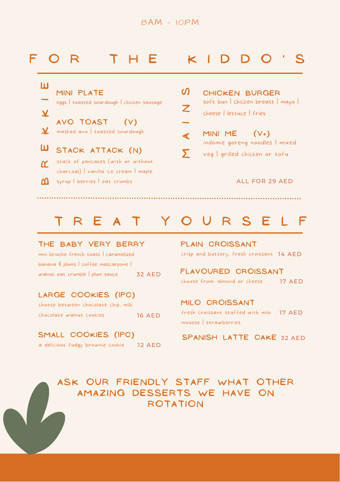### 8AM - 10PM

### **F O R T H E K I D D O ' S**

 **I E** eggs | toasted sourdough | chicken sausage **MINI PLATE**

- **KK**mashed avo | toasted sourdough **AVO TOAST (V)**
- **B** syrup I berries I oat crumbs **R** charcoal) | vanilla ice cream | maple **E STACK ATTACK (N)** stack of pancakes (with or without

soft bun | chicken breast | mayo | cheese | lettuce | fries **CHICKEN BURGER A I N**  $\Omega$ 

indomie goreng noodles | mixed veg | grilled chicken or tofu **MINI ME (V+)**  $\Sigma$ 

#### ALL FOR 29 AED

### **T R E A T Y O U R S E L F**

#### **THE BABY VERY BERRY**

crisp and buttery, fresh croissant mini brioche french toast | caramelized 14 AED banana & plums | coffee mascarpone | walnut oat crumble | plum sauce 32 AED

### **LARGE COOKIES (1PC)**

|                          | choose between chocolate chip, milk |  |               |
|--------------------------|-------------------------------------|--|---------------|
| chocolate walnut cookies |                                     |  | <b>16 AED</b> |

#### **SMALL COOKIES (1PC)**

a delicious fudgy brownie cookie 12 AED

**PLAIN CROISSANT**

choose from: almond or cheese **FLAVOURED CROISSANT** 17 AED

fresh croissant stuffed with milo 17 AED mousse | strawberries **MILO CROISSANT**

**SPANISH LATTE CAKE** 32 AED

### **ASK OUR FRI ENDLY ST AFF WHA T OTHER AMA Z IN G DESSERTS WE HAVE ON ROT A T ION**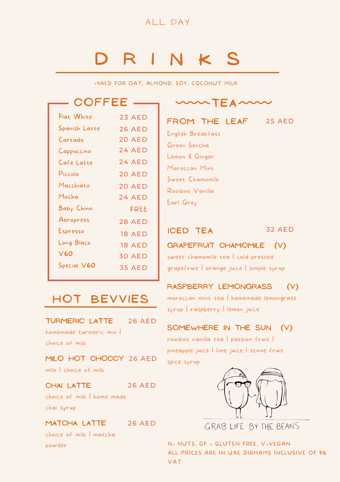

### **D R I N K S**

+4AED FOR OAT, ALMOND, SOY, COCONUT MILK

### **COFF E E**

| Flat White    | <b>23 AED</b> |
|---------------|---------------|
| Spanish Latte | <b>26 AED</b> |
| Cortado       | 20 AED        |
| Cappuccino    | 24 AFD        |
| Cafe Latte    | <b>24 AED</b> |
| Piccolo       | <b>20 AED</b> |
| Macchiato     | <b>20 AED</b> |
| Mocha         | 24 AFD        |
| Baby Chino    | FREE          |
| Aeropress     | 28 AED        |
| Espresso      | <b>18 AED</b> |
| Long Black    | <b>18 AED</b> |
| V60           | <b>30 AED</b> |
| Special V60   | 35 AFD        |

 $\sim$  **TEA** $\sim$ 

#### **FROM THE LEAF** 25 AED

English Breakfast Green Sencha Lemon & Ginger Moroccan Mint Sweet Chamomile Rooibos Vanilla Earl Grey

### **ICED TEA** 32 AED

### **GRAPEFRUIT CHAMOMILE (V)**

sweet chamomile tea | cold pressed grapefruit | orange juice | simple syrup

### **RASPBERRY LEMONGRASS (V)**

moroccan mint tea | homemade lemongrass syrup | raspberry | lemon juice

### **SOMEWHERE IN THE SUN (V)**

rooibos vanilla tea | passion fruit | pineapple juice | lime juice | stone fruit spice syrup



GRAB LIFE BY THE BEANS

N= NUTS, GF = GLUTEN FREE, V=VEGAN ALL PRICES ARE IN UAE DIRHAMS INCLUSIVE OF 5% VAT

### **HOt BEVVI ES**

**TURMERIC LATTE** homemade turmeric mix | 26 AED

choice of milk

**MILO HOT CHOCCY** 26 AED milo | choice of milk

**CHAI LATTE** 26 AED

choice of milk | home made chai syrup

**MATCHA LATTE** 26 AED

choice of milk | matcha powder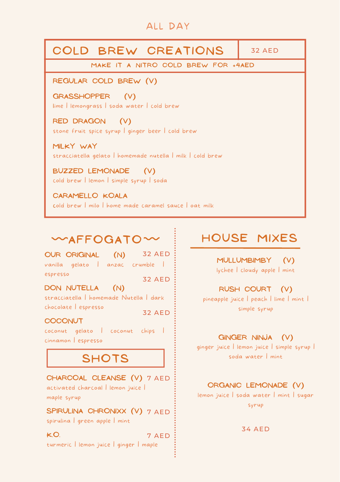### ALL DAY

| COLD BREW CREATIONS                                                      | $32$ AFD |  |  |  |
|--------------------------------------------------------------------------|----------|--|--|--|
| MAKE IT A NITRO COLD BREW FOR +4AED                                      |          |  |  |  |
| REGULAR COLD BREW (V)                                                    |          |  |  |  |
| GRASSHOPPER (V)<br>lime   lemongrass   soda water   cold brew            |          |  |  |  |
| RED DRAGON (V)<br>stone fruit spice syrup I ginger beer I cold brew      |          |  |  |  |
| MILKY WAY<br>stracciatella gelato   homemade nutella   milk   cold brew  |          |  |  |  |
| BUZZED LEMONADE (V)<br>cold brew   lemon   simple syrup   soda           |          |  |  |  |
| CARAMELLO KOALA<br>cold brew I milo I home made caramel sauce I oat milk |          |  |  |  |

### $MAFFOGATO^*$

**OUR ORIGINAL (N)** vanilla gelato | anzac crumble | espresso 32 AED 32 AED

**DON NUTELLA (N)** stracciatella | homemade Nutella | dark chocolate | espresso 32 AED

**COCONUT**

coconut gelato | coconut chips | cinnamon |espresso

### **SHOTS**

**CHARCOAL CLEANSE (V)** 7 AED activated charcoal | lemon juice | maple syrup

**SPIRULINA CHRONIXX (V)** 7 AED spirulina | green apple | mint

**K.O.** turmeric | lemon juice | ginger |maple 7 AED

### **HOUSE MI X ES**

**MULLUMBIMBY (V)** lychee | cloudy apple | mint

### **RUSH COURT (V)**

pineapple juice | peach | lime | mint | simple syrup

#### **GINGER NINJA (V)**

ginger juice | lemon juice | simple syrup | soda water | mint

### **ORGANIC LEMONADE (V)**

lemon juice | soda water | mint | sugar syrup

34 AED